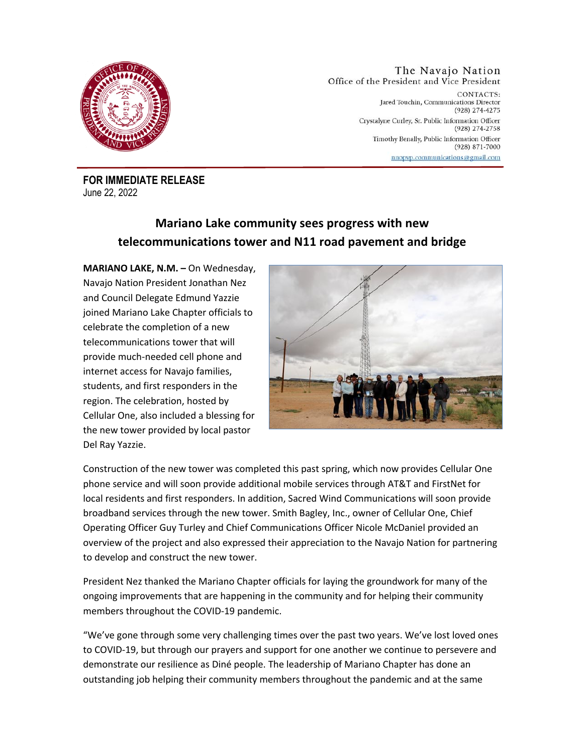

The Navajo Nation Office of the President and Vice President CONTACTS: Jared Touchin, Communications Director (928) 274-4275 Crystalyne Curley, Sr. Public Information Officer  $(928)$  274-2758 Timothy Benally, Public Information Officer (928) 871-7000 nnopyp.communications@gmail.com

**FOR IMMEDIATE RELEASE** June 22, 2022

## **Mariano Lake community sees progress with new telecommunications tower and N11 road pavement and bridge**

**MARIANO LAKE, N.M. –** On Wednesday, Navajo Nation President Jonathan Nez and Council Delegate Edmund Yazzie joined Mariano Lake Chapter officials to celebrate the completion of a new telecommunications tower that will provide much-needed cell phone and internet access for Navajo families, students, and first responders in the region. The celebration, hosted by Cellular One, also included a blessing for the new tower provided by local pastor Del Ray Yazzie.



Construction of the new tower was completed this past spring, which now provides Cellular One phone service and will soon provide additional mobile services through AT&T and FirstNet for local residents and first responders. In addition, Sacred Wind Communications will soon provide broadband services through the new tower. Smith Bagley, Inc., owner of Cellular One, Chief Operating Officer Guy Turley and Chief Communications Officer Nicole McDaniel provided an overview of the project and also expressed their appreciation to the Navajo Nation for partnering to develop and construct the new tower.

President Nez thanked the Mariano Chapter officials for laying the groundwork for many of the ongoing improvements that are happening in the community and for helping their community members throughout the COVID-19 pandemic.

"We've gone through some very challenging times over the past two years. We've lost loved ones to COVID-19, but through our prayers and support for one another we continue to persevere and demonstrate our resilience as Diné people. The leadership of Mariano Chapter has done an outstanding job helping their community members throughout the pandemic and at the same